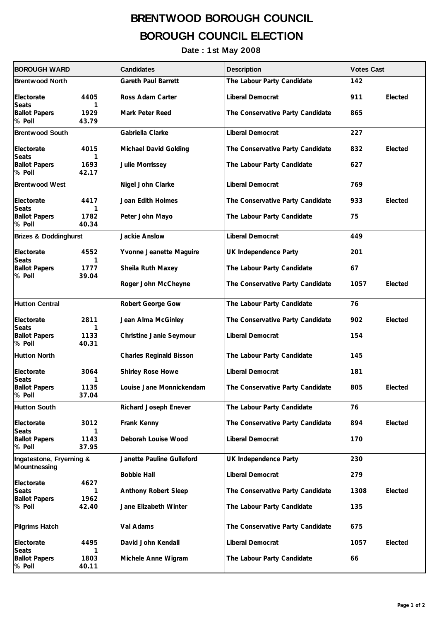## **BRENTWOOD BOROUGH COUNCIL BOROUGH COUNCIL ELECTION**

**Date : 1st May 2008**

| <b>BOROUGH WARD</b>                             |                    | <b>Candidates</b>              | <b>Description</b>               | <b>Votes Cast</b> |  |
|-------------------------------------------------|--------------------|--------------------------------|----------------------------------|-------------------|--|
| <b>Brentwood North</b>                          |                    | <b>Gareth Paul Barrett</b>     | The Labour Party Candidate       | 142               |  |
| Electorate                                      | 4405               | Ross Adam Carter               | Liberal Democrat                 | Elected<br>911    |  |
| <b>Seats</b><br><b>Ballot Papers</b><br>% Poll  | 1<br>1929<br>43.79 | Mark Peter Reed                | The Conservative Party Candidate | 865               |  |
| <b>Brentwood South</b>                          |                    | Gabriella Clarke               | Liberal Democrat                 | 227               |  |
| Electorate                                      | 4015               | Michael David Golding          | The Conservative Party Candidate | 832<br>Elected    |  |
| <b>Seats</b><br><b>Ballot Papers</b><br>% Poll  | 1<br>1693<br>42.17 | Julie Morrissey                | The Labour Party Candidate       | 627               |  |
| <b>Brentwood West</b>                           |                    | Nigel John Clarke              | Liberal Democrat                 | 769               |  |
| Electorate                                      | 4417               | Joan Edith Holmes              | The Conservative Party Candidate | 933<br>Elected    |  |
| <b>Seats</b><br><b>Ballot Papers</b><br>% Poll  | 1<br>1782<br>40.34 | Peter John Mayo                | The Labour Party Candidate       | 75                |  |
| <b>Brizes &amp; Doddinghurst</b>                |                    | Jackie Anslow                  | Liberal Democrat                 | 449               |  |
| Electorate                                      | 4552               | Yvonne Jeanette Maguire        | UK Independence Party            | 201               |  |
| <b>Seats</b><br><b>Ballot Papers</b>            | 1<br>1777          | Sheila Ruth Maxey              | The Labour Party Candidate       | 67                |  |
| % Poll                                          | 39.04              | Roger John McCheyne            | The Conservative Party Candidate | Elected<br>1057   |  |
| <b>Hutton Central</b>                           |                    | Robert George Gow              | The Labour Party Candidate       | 76                |  |
| Electorate                                      | 2811               | Jean Alma McGinley             | The Conservative Party Candidate | Elected<br>902    |  |
| <b>Seats</b><br><b>Ballot Papers</b><br>% Poll  | 1<br>1133<br>40.31 | Christine Janie Seymour        | Liberal Democrat                 | 154               |  |
| <b>Hutton North</b>                             |                    | <b>Charles Reginald Bisson</b> | The Labour Party Candidate       | 145               |  |
| Electorate                                      | 3064               | Shirley Rose Howe              | Liberal Democrat                 | 181               |  |
| <b>Seats</b><br><b>Ballot Papers</b><br>% Poll  | 1<br>1135<br>37.04 | Louise Jane Monnickendam       | The Conservative Party Candidate | 805<br>Elected    |  |
| <b>Hutton South</b>                             |                    | Richard Joseph Enever          | The Labour Party Candidate       | 76                |  |
| Electorate<br><b>Seats</b>                      | 3012<br>1          | Frank Kenny                    | The Conservative Party Candidate | 894<br>Elected    |  |
| <b>Ballot Papers</b><br>% Poll                  | 1143<br>37.95      | Deborah Louise Wood            | Liberal Democrat                 | 170               |  |
| Ingatestone, Fryerning &<br><b>Mountnessing</b> |                    | Janette Pauline Gulleford      | UK Independence Party            | 230               |  |
|                                                 |                    | <b>Bobbie Hall</b>             | Liberal Democrat                 | 279               |  |
| Electorate<br><b>Seats</b>                      | 4627<br>1          | Anthony Robert Sleep           | The Conservative Party Candidate | 1308<br>Elected   |  |
| <b>Ballot Papers</b><br>% Poll                  | 1962<br>42.40      | Jane Elizabeth Winter          | The Labour Party Candidate       | 135               |  |
| <b>Pilgrims Hatch</b>                           |                    | Val Adams                      | The Conservative Party Candidate | 675               |  |
| Electorate                                      | 4495               | David John Kendall             | Liberal Democrat                 | 1057<br>Elected   |  |
| <b>Seats</b><br><b>Ballot Papers</b><br>% Poll  | 1<br>1803<br>40.11 | Michele Anne Wigram            | The Labour Party Candidate       | 66                |  |